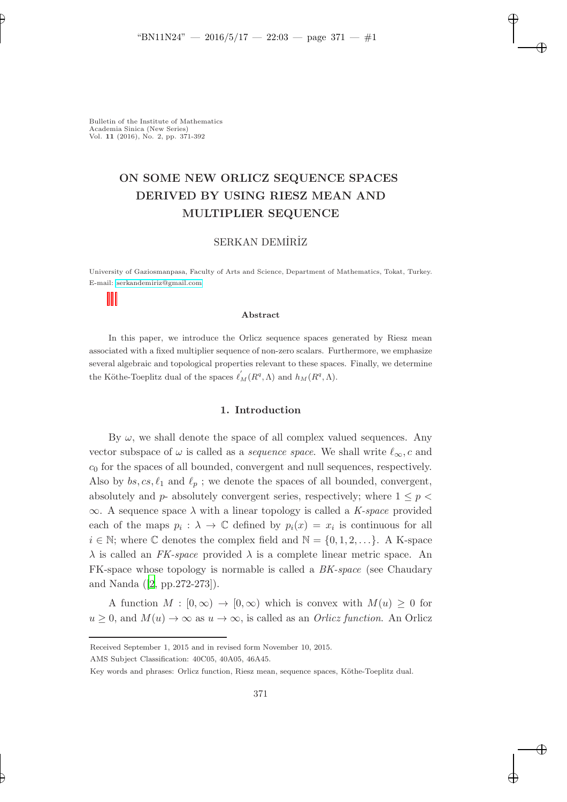# ON SOME NEW ORLICZ SEQUENCE SPACES DERIVED BY USING RIESZ MEAN AND MULTIPLIER SEQUENCE

# SERKAN DEMİRİZ

University of Gaziosmanpasa, Faculty of Arts and Science, Department of Mathematics, Tokat, Turkey. E-mail: [serkandemiriz@gmail.com](mailto:serkandemiriz@gmail.com)

#### Abstract

In this paper, we introduce the Orlicz sequence spaces generated by Riesz mean associated with a fixed multiplier sequence of non-zero scalars. Furthermore, we emphasize several algebraic and topological properties relevant to these spaces. Finally, we determine the Köthe-Toeplitz dual of the spaces  $\ell'_M(R^q, \Lambda)$  and  $h_M(R^q, \Lambda)$ .

#### 1. Introduction

By  $\omega$ , we shall denote the space of all complex valued sequences. Any vector subspace of  $\omega$  is called as a *sequence space*. We shall write  $\ell_{\infty}$ , c and  $c_0$  for the spaces of all bounded, convergent and null sequences, respectively. Also by  $bs, cs, \ell_1$  and  $\ell_p$ ; we denote the spaces of all bounded, convergent, absolutely and  $p$ - absolutely convergent series, respectively; where  $1 \leq p$  $\infty$ . A sequence space  $\lambda$  with a linear topology is called a *K-space* provided each of the maps  $p_i : \lambda \to \mathbb{C}$  defined by  $p_i(x) = x_i$  is continuous for all  $i \in \mathbb{N}$ ; where  $\mathbb C$  denotes the complex field and  $\mathbb N = \{0, 1, 2, \ldots\}$ . A K-space  $\lambda$  is called an *FK-space* provided  $\lambda$  is a complete linear metric space. An FK-space whose topology is normable is called a *BK-space* (see Chaudary and Nanda ([\[2](#page-20-0), pp.272-273]).

A function  $M : [0, \infty) \to [0, \infty)$  which is convex with  $M(u) \geq 0$  for  $u \geq 0$ , and  $M(u) \to \infty$  as  $u \to \infty$ , is called as an *Orlicz function*. An Orlicz

Received September 1, 2015 and in revised form November 10, 2015.

AMS Subject Classification: 40C05, 40A05, 46A45.

Key words and phrases: Orlicz function, Riesz mean, sequence spaces, Köthe-Toeplitz dual.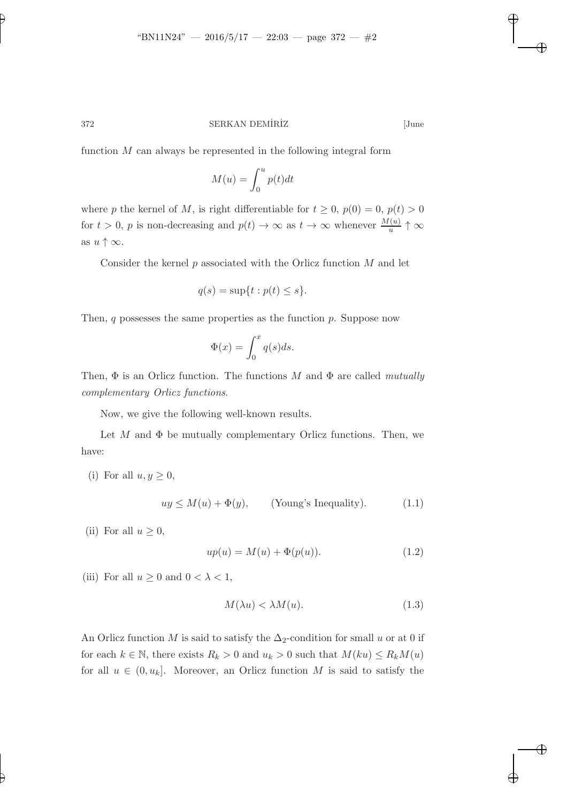function  $M$  can always be represented in the following integral form

$$
M(u) = \int_0^u p(t)dt
$$

where p the kernel of M, is right differentiable for  $t \geq 0$ ,  $p(0) = 0$ ,  $p(t) > 0$ for  $t > 0$ , p is non-decreasing and  $p(t) \to \infty$  as  $t \to \infty$  whenever  $\frac{M(u)}{u} \uparrow \infty$ as  $u \uparrow \infty$ .

Consider the kernel  $p$  associated with the Orlicz function  $M$  and let

$$
q(s) = \sup\{t : p(t) \le s\}.
$$

Then,  $q$  possesses the same properties as the function  $p$ . Suppose now

$$
\Phi(x) = \int_0^x q(s)ds.
$$

Then, Φ is an Orlicz function. The functions M and Φ are called *mutually complementary Orlicz functions*.

Now, we give the following well-known results.

Let  $M$  and  $\Phi$  be mutually complementary Orlicz functions. Then, we have:

(i) For all  $u, y \geq 0$ ,

<span id="page-1-0"></span>
$$
uy \le M(u) + \Phi(y), \qquad \text{(Young's Inequality)}.\tag{1.1}
$$

(ii) For all  $u \geq 0$ ,

$$
up(u) = M(u) + \Phi(p(u)).
$$
\n(1.2)

(iii) For all  $u \geq 0$  and  $0 < \lambda < 1$ ,

$$
M(\lambda u) < \lambda M(u). \tag{1.3}
$$

An Orlicz function M is said to satisfy the  $\Delta_2$ -condition for small u or at 0 if for each  $k \in \mathbb{N}$ , there exists  $R_k > 0$  and  $u_k > 0$  such that  $M(ku) \le R_kM(u)$ for all  $u \in (0, u_k]$ . Moreover, an Orlicz function M is said to satisfy the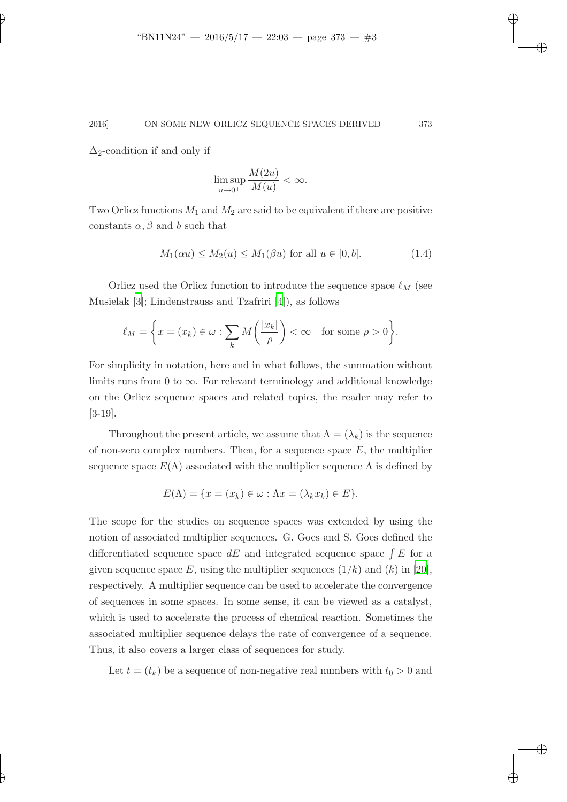$\Delta_2$ -condition if and only if

<span id="page-2-0"></span>
$$
\limsup_{u \to 0^+} \frac{M(2u)}{M(u)} < \infty.
$$

Two Orlicz functions  $M_1$  and  $M_2$  are said to be equivalent if there are positive constants  $\alpha$ ,  $\beta$  and b such that

$$
M_1(\alpha u) \le M_2(u) \le M_1(\beta u) \text{ for all } u \in [0, b]. \tag{1.4}
$$

Orlicz used the Orlicz function to introduce the sequence space  $\ell_M$  (see Musielak [\[3\]](#page-20-1); Lindenstrauss and Tzafriri [\[4](#page-20-2)]), as follows

$$
\ell_M = \left\{ x = (x_k) \in \omega : \sum_k M\left(\frac{|x_k|}{\rho}\right) < \infty \quad \text{for some } \rho > 0 \right\}.
$$

For simplicity in notation, here and in what follows, the summation without limits runs from 0 to  $\infty$ . For relevant terminology and additional knowledge on the Orlicz sequence spaces and related topics, the reader may refer to [3-19].

Throughout the present article, we assume that  $\Lambda = (\lambda_k)$  is the sequence of non-zero complex numbers. Then, for a sequence space  $E$ , the multiplier sequence space  $E(\Lambda)$  associated with the multiplier sequence  $\Lambda$  is defined by

$$
E(\Lambda) = \{x = (x_k) \in \omega : \Lambda x = (\lambda_k x_k) \in E\}.
$$

The scope for the studies on sequence spaces was extended by using the notion of associated multiplier sequences. G. Goes and S. Goes defined the differentiated sequence space  $dE$  and integrated sequence space  $\int E$  for a given sequence space E, using the multiplier sequences  $(1/k)$  and  $(k)$  in [\[20](#page-21-0)], respectively. A multiplier sequence can be used to accelerate the convergence of sequences in some spaces. In some sense, it can be viewed as a catalyst, which is used to accelerate the process of chemical reaction. Sometimes the associated multiplier sequence delays the rate of convergence of a sequence. Thus, it also covers a larger class of sequences for study.

Let  $t = (t_k)$  be a sequence of non-negative real numbers with  $t_0 > 0$  and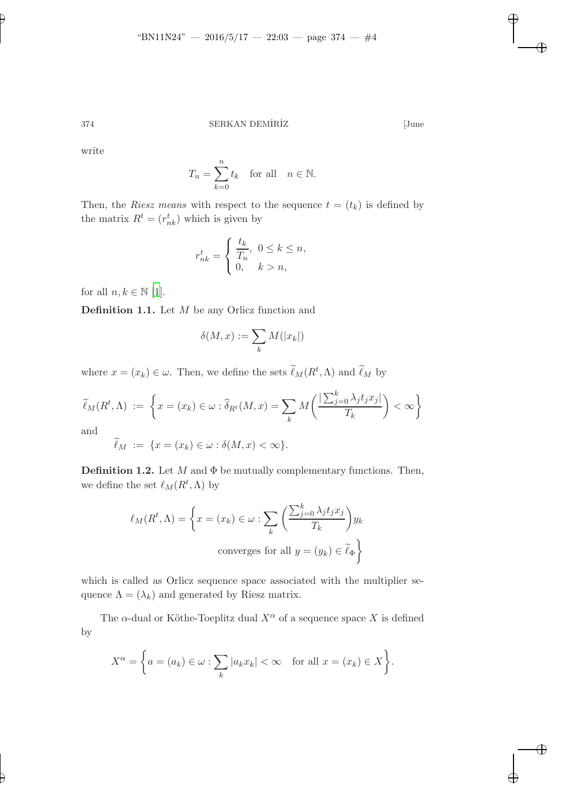write

$$
T_n = \sum_{k=0}^n t_k \quad \text{for all} \quad n \in \mathbb{N}.
$$

Then, the *Riesz means* with respect to the sequence  $t = (t_k)$  is defined by the matrix  $R^t = (r_{nk}^t)$  which is given by

$$
r_{nk}^t = \begin{cases} \frac{t_k}{T_n}, & 0 \le k \le n, \\ 0, & k > n, \end{cases}
$$

for all  $n, k \in \mathbb{N}$  [\[1](#page-20-3)].

Definition 1.1. Let M be any Orlicz function and

$$
\delta(M, x) := \sum_{k} M(|x_k|)
$$

where  $x = (x_k) \in \omega$ . Then, we define the sets  $\ell_M(R^t, \Lambda)$  and  $\ell_M$  by

$$
\widetilde{\ell}_M(R^t, \Lambda) := \left\{ x = (x_k) \in \omega : \widehat{\delta}_{R^t}(M, x) = \sum_k M\left(\frac{|\sum_{j=0}^k \lambda_j t_j x_j|}{T_k}\right) < \infty \right\}
$$

and

$$
\widetilde{\ell}_M := \{ x = (x_k) \in \omega : \delta(M, x) < \infty \}.
$$

**Definition 1.2.** Let  $M$  and  $\Phi$  be mutually complementary functions. Then, we define the set  $\ell_M(R^t,\Lambda)$  by

$$
\ell_M(R^t, \Lambda) = \left\{ x = (x_k) \in \omega : \sum_k \left( \frac{\sum_{j=0}^k \lambda_j t_j x_j}{T_k} \right) y_k \right\}
$$
  
converges for all  $y = (y_k) \in \widetilde{\ell}_{\Phi}$ 

which is called as Orlicz sequence space associated with the multiplier sequence  $\Lambda = (\lambda_k)$  and generated by Riesz matrix.

The  $\alpha$ -dual or Köthe-Toeplitz dual  $X^{\alpha}$  of a sequence space X is defined by

$$
X^{\alpha} = \left\{ a = (a_k) \in \omega : \sum_k |a_k x_k| < \infty \quad \text{for all } x = (x_k) \in X \right\}.
$$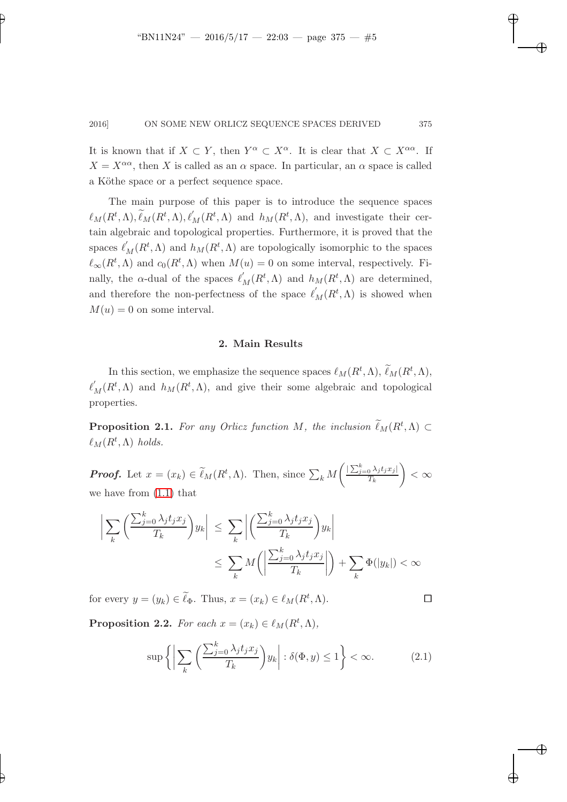It is known that if  $X \subset Y$ , then  $Y^{\alpha} \subset X^{\alpha}$ . It is clear that  $X \subset X^{\alpha\alpha}$ . If  $X = X^{\alpha\alpha}$ , then X is called as an  $\alpha$  space. In particular, an  $\alpha$  space is called a Köthe space or a perfect sequence space.

The main purpose of this paper is to introduce the sequence spaces  $\ell_M(R^t, \Lambda), \widetilde{\ell}_M(R^t, \Lambda), \ell'_M(R^t, \Lambda)$  and  $h_M(R^t, \Lambda)$ , and investigate their certain algebraic and topological properties. Furthermore, it is proved that the spaces  $\ell'_M(R^t, \Lambda)$  and  $h_M(R^t, \Lambda)$  are topologically isomorphic to the spaces  $\ell_{\infty}(R^t, \Lambda)$  and  $c_0(R^t, \Lambda)$  when  $M(u) = 0$  on some interval, respectively. Finally, the α-dual of the spaces  $\ell'_M(R^t, \Lambda)$  and  $h_M(R^t, \Lambda)$  are determined, and therefore the non-perfectness of the space  $\ell'_M(R^t,\Lambda)$  is showed when  $M(u) = 0$  on some interval.

### 2. Main Results

In this section, we emphasize the sequence spaces  $\ell_M(R^t, \Lambda), \ell_M(R^t, \Lambda),$  $\ell'_{M}(R^t,\Lambda)$  and  $h_M(R^t,\Lambda)$ , and give their some algebraic and topological properties.

**Proposition 2.1.** For any Orlicz function M, the inclusion  $\ell_M(R^t, \Lambda) \subset$  $\ell_M(R^t,\Lambda)$  *holds.* 

**Proof.** Let  $x = (x_k) \in \ell_M(R^t, \Lambda)$ . Then, since  $\sum_k M$  $\int \left| \sum_{j=0}^k \lambda_j t_j x_j \right|$  $T_k$  $\setminus$  $<$   $\infty$ we have from [\(1.1\)](#page-1-0) that

$$
\left| \sum_{k} \left( \frac{\sum_{j=0}^{k} \lambda_{j} t_{j} x_{j}}{T_{k}} \right) y_{k} \right| \leq \sum_{k} \left| \left( \frac{\sum_{j=0}^{k} \lambda_{j} t_{j} x_{j}}{T_{k}} \right) y_{k} \right|
$$
  

$$
\leq \sum_{k} M \left( \left| \frac{\sum_{j=0}^{k} \lambda_{j} t_{j} x_{j}}{T_{k}} \right| \right) + \sum_{k} \Phi(|y_{k}|) < \infty
$$

for every  $y = (y_k) \in \tilde{\ell}_{\Phi}$ . Thus,  $x = (x_k) \in \ell_M(R^t, \Lambda)$ .

<span id="page-4-0"></span>

**Proposition 2.2.** *For each*  $x = (x_k) \in \ell_M(R^t, \Lambda)$ ,

$$
\sup\left\{ \left| \sum_{k} \left( \frac{\sum_{j=0}^{k} \lambda_j t_j x_j}{T_k} \right) y_k \right| : \delta(\Phi, y) \le 1 \right\} < \infty. \tag{2.1}
$$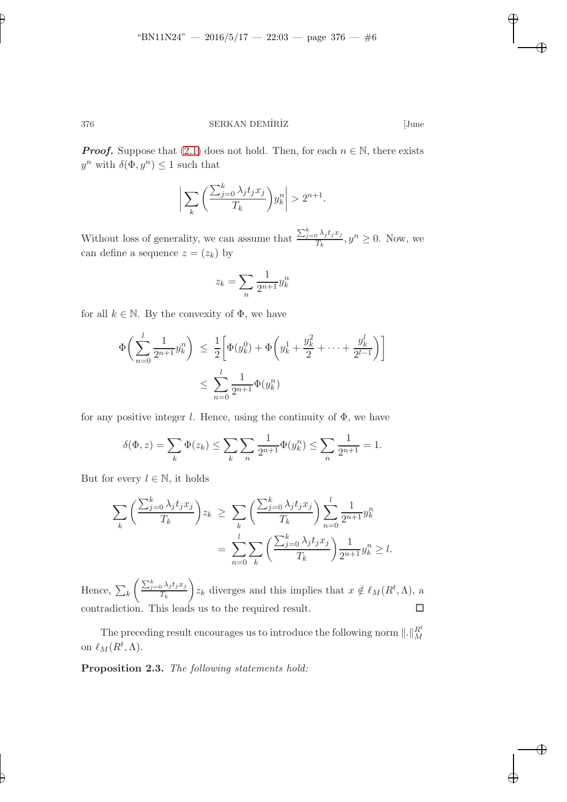**Proof.** Suppose that [\(2.1\)](#page-4-0) does not hold. Then, for each  $n \in \mathbb{N}$ , there exists  $y^n$  with  $\delta(\Phi, y^n) \leq 1$  such that

$$
\bigg|\sum_{k}\bigg(\frac{\sum_{j=0}^{k}\lambda_jt_jx_j}{T_k}\bigg)y_k^n\bigg|>2^{n+1}.
$$

Without loss of generality, we can assume that  $\frac{\sum_{j=0}^{k} \lambda_j t_j x_j}{T_k}$  $\frac{\partial \Delta_j}{\partial T_k}$ ,  $y^n \ge 0$ . Now, we can define a sequence  $z = (z_k)$  by

$$
z_k = \sum_n \frac{1}{2^{n+1}} y_k^n
$$

for all  $k \in \mathbb{N}$ . By the convexity of  $\Phi$ , we have

$$
\Phi\left(\sum_{n=0}^{l} \frac{1}{2^{n+1}} y_k^n\right) \le \frac{1}{2} \left[ \Phi(y_k^0) + \Phi\left(y_k^1 + \frac{y_k^2}{2} + \dots + \frac{y_k^l}{2^{l-1}}\right) \right]
$$
  

$$
\le \sum_{n=0}^{l} \frac{1}{2^{n+1}} \Phi(y_k^n)
$$

for any positive integer l. Hence, using the continuity of  $\Phi$ , we have

$$
\delta(\Phi, z) = \sum_{k} \Phi(z_k) \le \sum_{k} \sum_{n} \frac{1}{2^{n+1}} \Phi(y_k^n) \le \sum_{n} \frac{1}{2^{n+1}} = 1.
$$

But for every  $l \in \mathbb{N}$ , it holds

$$
\sum_{k} \left( \frac{\sum_{j=0}^{k} \lambda_j t_j x_j}{T_k} \right) z_k \ge \sum_{k} \left( \frac{\sum_{j=0}^{k} \lambda_j t_j x_j}{T_k} \right) \sum_{n=0}^{l} \frac{1}{2^{n+1}} y_k^n
$$

$$
= \sum_{n=0}^{l} \sum_{k} \left( \frac{\sum_{j=0}^{k} \lambda_j t_j x_j}{T_k} \right) \frac{1}{2^{n+1}} y_k^n \ge l.
$$

Hence,  $\sum_k$  $\left( \sum_{j=0}^k \lambda_j t_j x_j \right)$  $T_k$  $\bigg\}z_k$  diverges and this implies that  $x \notin \ell_M(R^t,\Lambda)$ , a contradiction. This leads us to the required result.  $\Box$ 

<span id="page-5-0"></span>The preceding result encourages us to introduce the following norm  $\|.\|_M^{R^t}$ on  $\ell_M(R^t,\Lambda)$ .

Proposition 2.3. *The following statements hold:*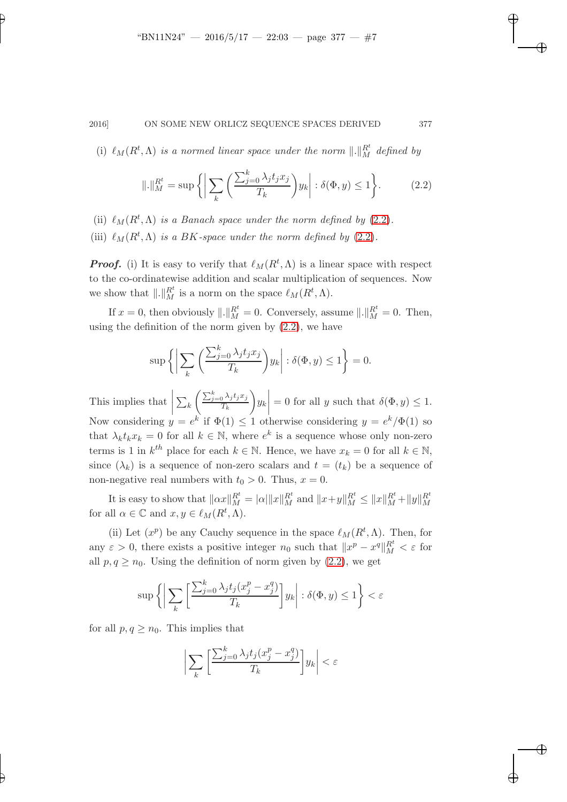(i)  $\ell_M(R^t, \Lambda)$  *is a normed linear space under the norm*  $\Vert . \Vert_M^{R^t}$  defined by

<span id="page-6-0"></span>
$$
\| \cdot \|_{M}^{R^t} = \sup \left\{ \left| \sum_{k} \left( \frac{\sum_{j=0}^{k} \lambda_j t_j x_j}{T_k} \right) y_k \right| : \delta(\Phi, y) \le 1 \right\}.
$$
 (2.2)

- (ii)  $\ell_M(R^t, \Lambda)$  *is a Banach space under the norm defined by* [\(2.2\)](#page-6-0).
- (iii)  $\ell_M(R^t, \Lambda)$  *is a BK-space under the norm defined by* [\(2.2\)](#page-6-0).

**Proof.** (i) It is easy to verify that  $\ell_M(R^t,\Lambda)$  is a linear space with respect to the co-ordinatewise addition and scalar multiplication of sequences. Now we show that  $\Vert . \Vert_{M}^{R^{t}}$  is a norm on the space  $\ell_{M}(R^{t}, \Lambda)$ .

If  $x = 0$ , then obviously  $\| . \|_M^{R^t} = 0$ . Conversely, assume  $\| . \|_M^{R^t} = 0$ . Then, using the definition of the norm given by  $(2.2)$ , we have

$$
\sup \left\{ \left| \sum_{k} \left( \frac{\sum_{j=0}^{k} \lambda_j t_j x_j}{T_k} \right) y_k \right| : \delta(\Phi, y) \le 1 \right\} = 0.
$$

This implies that  $\sum_k$  $\int \sum_{j=0}^k \lambda_j t_j x_j$  $T_k$  $\setminus$ yk  $= 0$  for all y such that  $\delta(\Phi, y) \leq 1$ . Now considering  $y = e^k$  if  $\Phi(1) \leq 1$  otherwise considering  $y = e^k/\Phi(1)$  so that  $\lambda_k t_k x_k = 0$  for all  $k \in \mathbb{N}$ , where  $e^k$  is a sequence whose only non-zero terms is 1 in  $k^{th}$  place for each  $k \in \mathbb{N}$ . Hence, we have  $x_k = 0$  for all  $k \in \mathbb{N}$ , since  $(\lambda_k)$  is a sequence of non-zero scalars and  $t = (t_k)$  be a sequence of non-negative real numbers with  $t_0 > 0$ . Thus,  $x = 0$ .

It is easy to show that  $||\alpha x||_M^{R^t} = |\alpha| ||x||_M^{R^t}$  and  $||x+y||_M^{R^t} \le ||x||_M^{R^t} + ||y||_M^{R^t}$ for all  $\alpha \in \mathbb{C}$  and  $x, y \in \ell_M(R^t, \Lambda)$ .

(ii) Let  $(x^p)$  be any Cauchy sequence in the space  $\ell_M(R^t,\Lambda)$ . Then, for any  $\varepsilon > 0$ , there exists a positive integer  $n_0$  such that  $||x^p - x^q||_M^{R^t} < \varepsilon$  for all  $p, q \geq n_0$ . Using the definition of norm given by  $(2.2)$ , we get

$$
\sup \left\{ \left| \sum_{k} \left[ \frac{\sum_{j=0}^{k} \lambda_{j} t_{j} (x_{j}^{p} - x_{j}^{q})}{T_{k}} \right] y_{k} \right| : \delta(\Phi, y) \le 1 \right\} < \varepsilon
$$

for all  $p, q \geq n_0$ . This implies that

$$
\bigg|\sum_k\bigg[\frac{\sum_{j=0}^k\lambda_jt_j(x_j^p-x_j^q)}{T_k}\bigg]y_k\bigg|<\varepsilon
$$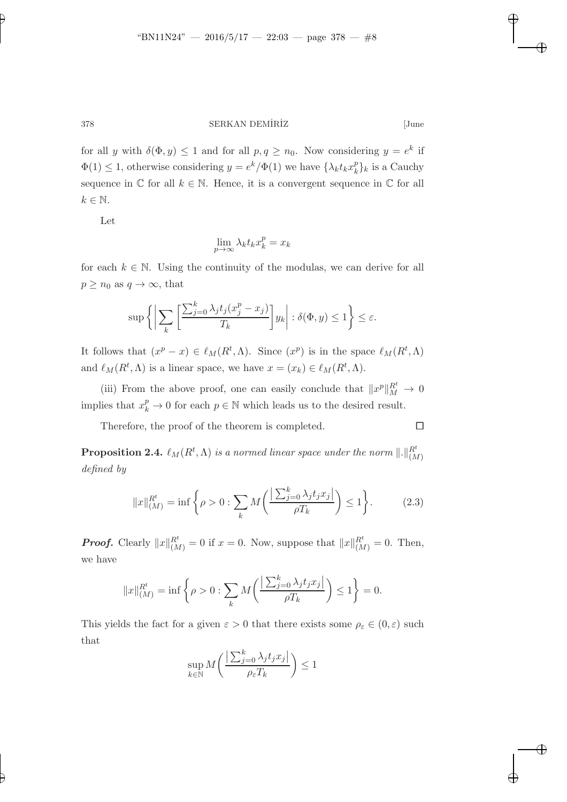378 SERKAN DEMÍRÍZ [June

for all y with  $\delta(\Phi, y) \leq 1$  and for all  $p, q \geq n_0$ . Now considering  $y = e^k$  if  $\Phi(1) \leq 1$ , otherwise considering  $y = e^k / \Phi(1)$  we have  $\{\lambda_k t_k x_k^p\}$  $_{k}^{p}$ <sub>k</sub> is a Cauchy sequence in  $\mathbb C$  for all  $k \in \mathbb N$ . Hence, it is a convergent sequence in  $\mathbb C$  for all  $k \in \mathbb{N}$ .

Let

$$
\lim_{p \to \infty} \lambda_k t_k x_k^p = x_k
$$

for each  $k \in \mathbb{N}$ . Using the continuity of the modulas, we can derive for all  $p \geq n_0$  as  $q \to \infty$ , that

$$
\sup \left\{ \left| \sum_{k} \left[ \frac{\sum_{j=0}^{k} \lambda_j t_j (x_j^p - x_j)}{T_k} \right] y_k \right| : \delta(\Phi, y) \le 1 \right\} \le \varepsilon.
$$

It follows that  $(x^p - x) \in \ell_M(R^t, \Lambda)$ . Since  $(x^p)$  is in the space  $\ell_M(R^t, \Lambda)$ and  $\ell_M(R^t, \Lambda)$  is a linear space, we have  $x = (x_k) \in \ell_M(R^t, \Lambda)$ .

(iii) From the above proof, one can easily conclude that  $||x^p||_M^{R^t} \to 0$ implies that  $x_k^p \to 0$  for each  $p \in \mathbb{N}$  which leads us to the desired result.

<span id="page-7-0"></span>Therefore, the proof of the theorem is completed.  $\Box$ 

Proposition 2.4.  $\ell_M(R^t,\Lambda)$  *is a normed linear space under the norm*  $\Vert .\Vert_{(M)}^{R^t}$ *defined by*

<span id="page-7-1"></span>
$$
||x||_{(M)}^{R^t} = \inf \left\{ \rho > 0 : \sum_k M \left( \frac{\left| \sum_{j=0}^k \lambda_j t_j x_j \right|}{\rho T_k} \right) \le 1 \right\}.
$$
 (2.3)

**Proof.** Clearly  $||x||_{(M)}^{R^t} = 0$  if  $x = 0$ . Now, suppose that  $||x||_{(M)}^{R^t} = 0$ . Then, we have

$$
||x||_{(M)}^{R^t} = \inf \left\{ \rho > 0 : \sum_k M \left( \frac{\left| \sum_{j=0}^k \lambda_j t_j x_j \right|}{\rho T_k} \right) \le 1 \right\} = 0.
$$

This yields the fact for a given  $\varepsilon > 0$  that there exists some  $\rho_{\varepsilon} \in (0, \varepsilon)$  such that

$$
\sup_{k \in \mathbb{N}} M \bigg( \frac{\big| \sum_{j=0}^k \lambda_j t_j x_j \big|}{\rho_{\varepsilon} T_k} \bigg) \leq 1
$$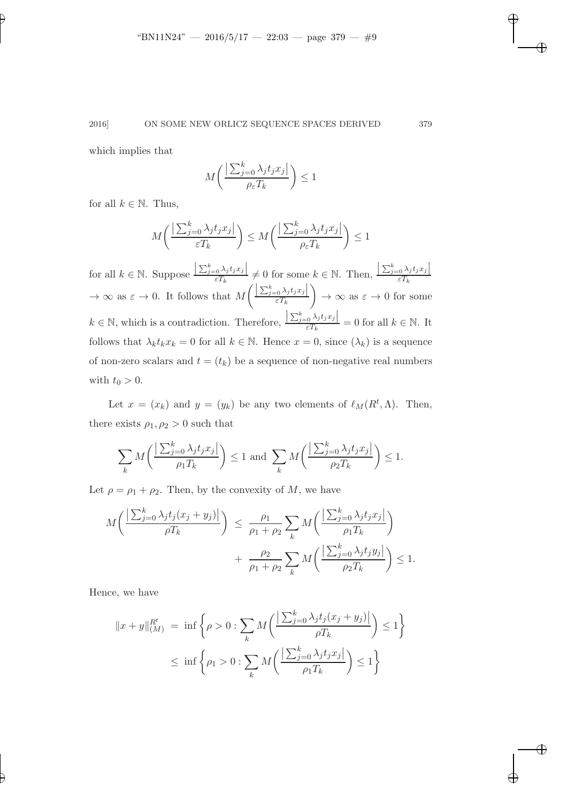which implies that

$$
M\left(\frac{\left|\sum_{j=0}^{k} \lambda_j t_j x_j\right|}{\rho_{\varepsilon} T_k}\right) \le 1
$$

for all  $k \in \mathbb{N}$ . Thus,

$$
M\left(\frac{\left|\sum_{j=0}^{k} \lambda_j t_j x_j\right|}{\varepsilon T_k}\right) \le M\left(\frac{\left|\sum_{j=0}^{k} \lambda_j t_j x_j\right|}{\rho_{\varepsilon} T_k}\right) \le 1
$$

for all  $k \in \mathbb{N}$ . Suppose  $\frac{\left|\sum_{j=0}^k \lambda_j t_j x_j\right|}{\varepsilon T_k} \neq 0$  for some  $k \in \mathbb{N}$ . Then,  $\left| \frac{\sum_{j=0}^{k} \lambda_j t_j x_j}{\varepsilon T_k} \right|$  $\rightarrow \infty$  as  $\varepsilon \rightarrow 0$ . It follows that M  $\Bigg( \frac{\Big\vert \sum_{j=0}^k\lambda_j t_jx_j \Big\vert}{\varepsilon T_k}$  $\setminus$  $\rightarrow \infty$  as  $\varepsilon \rightarrow 0$  for some  $k \in \mathbb{N}$ , which is a contradiction. Therefore,  $\frac{\left|\sum_{j=0}^{k} \lambda_j t_j x_j\right|}{\varepsilon T_k} = 0$  for all  $k \in \mathbb{N}$ . It follows that  $\lambda_k t_k x_k = 0$  for all  $k \in \mathbb{N}$ . Hence  $x = 0$ , since  $(\lambda_k)$  is a sequence of non-zero scalars and  $t = (t_k)$  be a sequence of non-negative real numbers with  $t_0 > 0$ .

Let  $x = (x_k)$  and  $y = (y_k)$  be any two elements of  $\ell_M(R^t, \Lambda)$ . Then, there exists  $\rho_1, \rho_2 > 0$  such that

$$
\sum_{k} M\left(\frac{\left|\sum_{j=0}^{k} \lambda_j t_j x_j\right|}{\rho_1 T_k}\right) \le 1 \text{ and } \sum_{k} M\left(\frac{\left|\sum_{j=0}^{k} \lambda_j t_j x_j\right|}{\rho_2 T_k}\right) \le 1.
$$

Let  $\rho = \rho_1 + \rho_2$ . Then, by the convexity of M, we have

$$
M\left(\frac{\left|\sum_{j=0}^{k}\lambda_{j}t_{j}(x_{j}+y_{j})\right|}{\rho T_{k}}\right) \leq \frac{\rho_{1}}{\rho_{1}+\rho_{2}}\sum_{k}M\left(\frac{\left|\sum_{j=0}^{k}\lambda_{j}t_{j}x_{j}\right|}{\rho_{1}T_{k}}\right) + \frac{\rho_{2}}{\rho_{1}+\rho_{2}}\sum_{k}M\left(\frac{\left|\sum_{j=0}^{k}\lambda_{j}t_{j}y_{j}\right|}{\rho_{2}T_{k}}\right) \leq 1.
$$

Hence, we have

$$
||x + y||_{(M)}^{R^t} = \inf \left\{ \rho > 0 : \sum_k M \left( \frac{\left| \sum_{j=0}^k \lambda_j t_j (x_j + y_j) \right|}{\rho T_k} \right) \le 1 \right\}
$$
  

$$
\le \inf \left\{ \rho_1 > 0 : \sum_k M \left( \frac{\left| \sum_{j=0}^k \lambda_j t_j x_j \right|}{\rho_1 T_k} \right) \le 1 \right\}
$$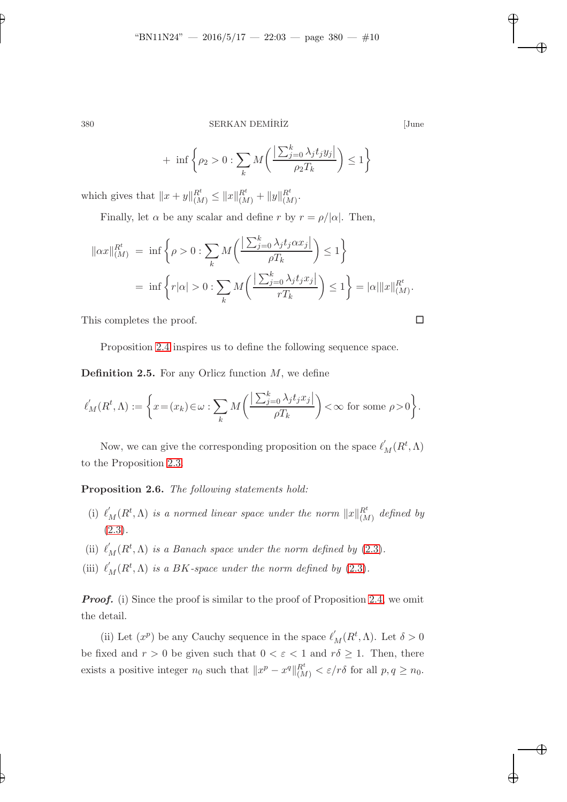380 SERKAN DEMÍRİZ [June

$$
+ \inf \left\{ \rho_2 > 0 : \sum_{k} M \left( \frac{\left| \sum_{j=0}^{k} \lambda_j t_j y_j \right|}{\rho_2 T_k} \right) \le 1 \right\}
$$

which gives that  $||x + y||_{(M)}^{R^t} \leq ||x||_{(M)}^{R^t} + ||y||_{(M)}^{R^t}.$ 

Finally, let  $\alpha$  be any scalar and define r by  $r = \rho/|\alpha|$ . Then,

$$
\|\alpha x\|_{(M)}^{R^t} = \inf \left\{\rho > 0 : \sum_k M\left(\frac{\left|\sum_{j=0}^k \lambda_j t_j \alpha x_j\right|}{\rho T_k}\right) \le 1\right\}
$$
  
= 
$$
\inf \left\{r|\alpha| > 0 : \sum_k M\left(\frac{\left|\sum_{j=0}^k \lambda_j t_j x_j\right|}{rT_k}\right) \le 1\right\} = |\alpha| \|x\|_{(M)}^{R^t}.
$$

This completes the proof.

Proposition [2.4](#page-7-0) inspires us to define the following sequence space.

**Definition 2.5.** For any Orlicz function  $M$ , we define

$$
\ell'_M(R^t,\Lambda):=\bigg\{x\!=\!(x_k)\!\in\!\omega:\sum_k M\bigg(\frac{\big|\sum_{j=0}^k\lambda_jt_jx_j\big|}{\rho T_k}\bigg)\!<\!\infty\text{ for some }\rho\!>\!0\bigg\}.
$$

Now, we can give the corresponding proposition on the space  $\ell'_M(R^t, \Lambda)$ to the Proposition [2.3.](#page-5-0)

Proposition 2.6. *The following statements hold:*

- (i)  $\ell'_M(R^t, \Lambda)$  *is a normed linear space under the norm*  $||x||_{(M)}^{R^t}$  *defined by* [\(2.3\)](#page-7-1)*.*
- (ii)  $\ell'_M(R^t, \Lambda)$  *is a Banach space under the norm defined by* [\(2.3\)](#page-7-1).
- (iii)  $\ell'_M(R^t, \Lambda)$  *is a BK-space under the norm defined by* [\(2.3\)](#page-7-1)*.*

**Proof.** (i) Since the proof is similar to the proof of Proposition [2.4,](#page-7-0) we omit the detail.

(ii) Let  $(x^p)$  be any Cauchy sequence in the space  $\ell'_M(R^t, \Lambda)$ . Let  $\delta > 0$ be fixed and  $r > 0$  be given such that  $0 < \varepsilon < 1$  and  $r\delta \geq 1$ . Then, there exists a positive integer  $n_0$  such that  $||x^p - x^q||_{(M)}^{R^t} < \varepsilon/r\delta$  for all  $p, q \ge n_0$ .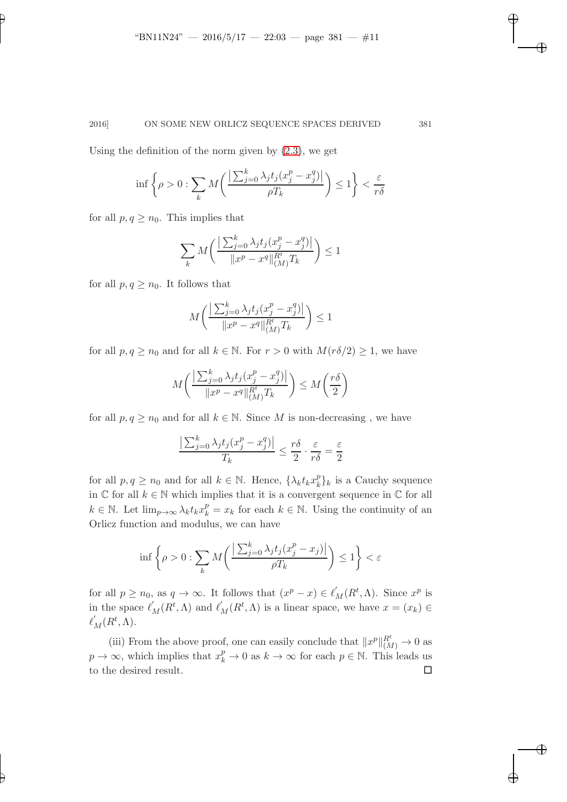Using the definition of the norm given by [\(2.3\)](#page-7-1), we get

$$
\inf \left\{ \rho > 0 : \sum_{k} M \left( \frac{\left| \sum_{j=0}^{k} \lambda_{j} t_{j} (x_{j}^{p} - x_{j}^{q}) \right|}{\rho T_{k}} \right) \leq 1 \right\} < \frac{\varepsilon}{r \delta}
$$

for all  $p, q \geq n_0$ . This implies that

$$
\sum_{k} M\bigg(\frac{\left|\sum_{j=0}^{k} \lambda_j t_j (x_j^p - x_j^q)\right|}{\|x^p - x^q\|_{(M)}^{R^t} T_k}\bigg) \le 1
$$

for all  $p, q \geq n_0$ . It follows that

$$
M\bigg(\frac{\big|\sum_{j=0}^k\lambda_jt_j(x_j^p-x_j^q)\big|}{\|x^p-x^q\|_{(M)}^{R^t}T_k}\bigg)\leq 1
$$

for all  $p, q \ge n_0$  and for all  $k \in \mathbb{N}$ . For  $r > 0$  with  $M(r\delta/2) \ge 1$ , we have

$$
M\bigg(\frac{\left|\sum_{j=0}^k\lambda_jt_j(x_j^p-x_j^q)\right|}{\|x^p-x^q\|_{(M)}^{R^t}T_k}\bigg) \leq M\bigg(\frac{r\delta}{2}\bigg)
$$

for all  $p, q \geq n_0$  and for all  $k \in \mathbb{N}$ . Since M is non-decreasing, we have

$$
\frac{\left|\sum_{j=0}^{k} \lambda_j t_j (x_j^p - x_j^q)\right|}{T_k} \le \frac{r\delta}{2} \cdot \frac{\varepsilon}{r\delta} = \frac{\varepsilon}{2}
$$

for all  $p, q \geq n_0$  and for all  $k \in \mathbb{N}$ . Hence,  $\{\lambda_k t_k x_k^p\}$  $_{k}^{p}$ <sub>k</sub> is a Cauchy sequence in  $\mathbb C$  for all  $k \in \mathbb N$  which implies that it is a convergent sequence in  $\mathbb C$  for all  $k \in \mathbb{N}$ . Let  $\lim_{p\to\infty} \lambda_k t_k x_k^p = x_k$  for each  $k \in \mathbb{N}$ . Using the continuity of an Orlicz function and modulus, we can have

$$
\inf \left\{ \rho > 0 : \sum_{k} M \left( \frac{\left| \sum_{j=0}^{k} \lambda_{j} t_{j} (x_{j}^{p} - x_{j}) \right|}{\rho T_{k}} \right) \leq 1 \right\} < \varepsilon
$$

for all  $p \ge n_0$ , as  $q \to \infty$ . It follows that  $(x^p - x) \in \ell'_M(R^t, \Lambda)$ . Since  $x^p$  is in the space  $\ell'_M(R^t, \Lambda)$  and  $\ell'_M(R^t, \Lambda)$  is a linear space, we have  $x = (x_k) \in$  $\ell'_M(R^t,\Lambda).$ 

(iii) From the above proof, one can easily conclude that  $||x^p||_{(M)}^{R^t} \to 0$  as  $p \to \infty$ , which implies that  $x_k^p \to 0$  as  $k \to \infty$  for each  $p \in \mathbb{N}$ . This leads us to the desired result.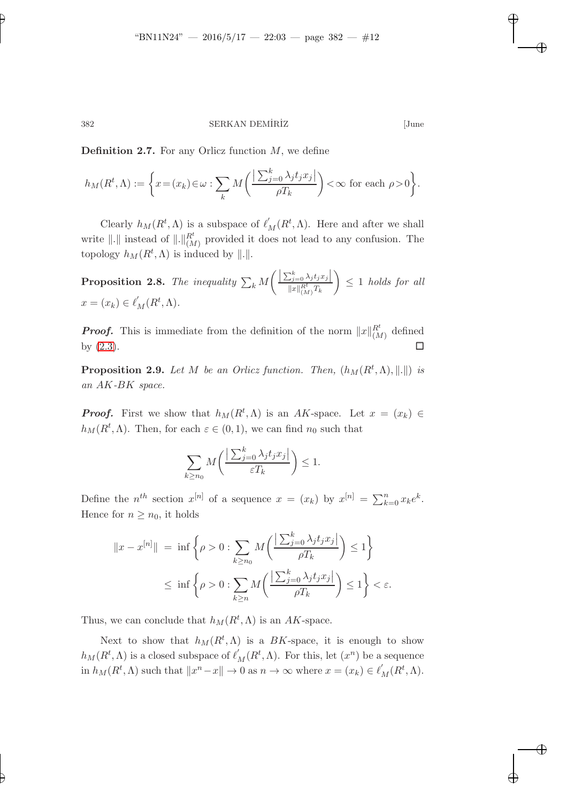382 SERKAN DEMÍRİZ [June

**Definition 2.7.** For any Orlicz function  $M$ , we define

$$
h_M(R^t,\Lambda) := \left\{ x = (x_k) \in \omega : \sum_k M\left(\frac{\left|\sum_{j=0}^k \lambda_j t_j x_j\right|}{\rho T_k}\right) < \infty \text{ for each } \rho > 0 \right\}.
$$

Clearly  $h_M(R^t, \Lambda)$  is a subspace of  $\ell'_M(R^t, \Lambda)$ . Here and after we shall write  $\|.\|$  instead of  $\|.\|_{(M)}^{R^t}$  provided it does not lead to any confusion. The topology  $h_M(R^t, \Lambda)$  is induced by  $\|\cdot\|.$ 

<span id="page-11-0"></span>**Proposition 2.8.** The inequality  $\sum_{k} M$  $\left( \frac{\sum_{j=0}^{k} \lambda_j t_j x_j}{\sum_{j=0}^{k} \lambda_j t_j x_j} \right)$  $||x||_{(M)}^{R_t^t}T_k$  $\setminus$  $\leq 1$  *holds for all*  $x = (x_k) \in \ell'_M(R^t, \Lambda).$ 

**Proof.** This is immediate from the definition of the norm  $||x||_{(M)}^{R^t}$  defined by  $(2.3)$ .

**Proposition 2.9.** Let M be an Orlicz function. Then,  $(h_M(R^t, \Lambda), \|.\|)$  is *an* AK*-*BK *space.*

**Proof.** First we show that  $h_M(R^t, \Lambda)$  is an AK-space. Let  $x = (x_k) \in$  $h_M(R^t, \Lambda)$ . Then, for each  $\varepsilon \in (0, 1)$ , we can find  $n_0$  such that

$$
\sum_{k \ge n_0} M\left(\frac{\left|\sum_{j=0}^k \lambda_j t_j x_j\right|}{\varepsilon T_k}\right) \le 1.
$$

Define the  $n^{th}$  section  $x^{[n]}$  of a sequence  $x = (x_k)$  by  $x^{[n]} = \sum_{k=0}^{n} x_k e^k$ . Hence for  $n \geq n_0$ , it holds

$$
||x - x^{[n]}|| = \inf \left\{ \rho > 0 : \sum_{k \ge n_0} M \left( \frac{\left| \sum_{j=0}^k \lambda_j t_j x_j \right|}{\rho T_k} \right) \le 1 \right\}
$$
  

$$
\le \inf \left\{ \rho > 0 : \sum_{k \ge n} M \left( \frac{\left| \sum_{j=0}^k \lambda_j t_j x_j \right|}{\rho T_k} \right) \le 1 \right\} < \varepsilon.
$$

Thus, we can conclude that  $h_M(R^t, \Lambda)$  is an AK-space.

Next to show that  $h_M(R^t, \Lambda)$  is a BK-space, it is enough to show  $h_M(R^t, \Lambda)$  is a closed subspace of  $\ell'_M(R^t, \Lambda)$ . For this, let  $(x^n)$  be a sequence in  $h_M(R^t, \Lambda)$  such that  $||x^n - x|| \to 0$  as  $n \to \infty$  where  $x = (x_k) \in \ell'_M(R^t, \Lambda)$ .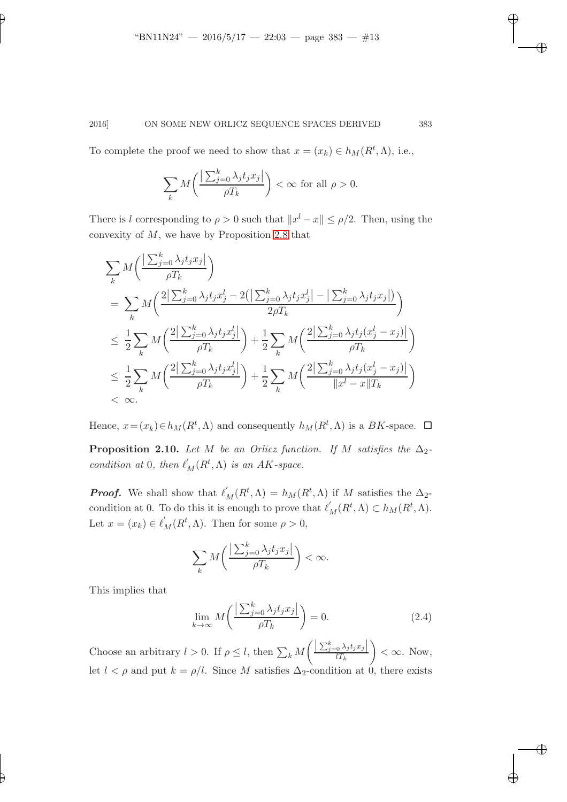To complete the proof we need to show that  $x = (x_k) \in h_M(R^t, \Lambda)$ , i.e.,

$$
\sum_{k} M\left(\frac{\left|\sum_{j=0}^{k} \lambda_j t_j x_j\right|}{\rho T_k}\right) < \infty \text{ for all } \rho > 0.
$$

There is l corresponding to  $\rho > 0$  such that  $||x^l - x|| \leq \rho/2$ . Then, using the convexity of  $M$ , we have by Proposition [2.8](#page-11-0) that

$$
\sum_{k} M\left(\frac{\left|\sum_{j=0}^{k} \lambda_{j} t_{j} x_{j}\right|}{\rho T_{k}}\right)
$$
\n
$$
= \sum_{k} M\left(\frac{2\left|\sum_{j=0}^{k} \lambda_{j} t_{j} x_{j}^{l}-2\right(\left|\sum_{j=0}^{k} \lambda_{j} t_{j} x_{j}^{l}\right|-\left|\sum_{j=0}^{k} \lambda_{j} t_{j} x_{j}\right|\right)}{2\rho T_{k}}\right)
$$
\n
$$
\leq \frac{1}{2} \sum_{k} M\left(\frac{2\left|\sum_{j=0}^{k} \lambda_{j} t_{j} x_{j}^{l}\right|}{\rho T_{k}}\right) + \frac{1}{2} \sum_{k} M\left(\frac{2\left|\sum_{j=0}^{k} \lambda_{j} t_{j} (x_{j}^{l}-x_{j})\right|}{\rho T_{k}}\right)
$$
\n
$$
\leq \frac{1}{2} \sum_{k} M\left(\frac{2\left|\sum_{j=0}^{k} \lambda_{j} t_{j} x_{j}^{l}\right|}{\rho T_{k}}\right) + \frac{1}{2} \sum_{k} M\left(\frac{2\left|\sum_{j=0}^{k} \lambda_{j} t_{j} (x_{j}^{l}-x_{j})\right|}{\|x^{l}-x\|T_{k}}\right)
$$
\n
$$
< \infty.
$$

Hence,  $x = (x_k) \in h_M(R^t, \Lambda)$  and consequently  $h_M(R^t, \Lambda)$  is a  $BK$ -space.  $\Box$ 

**Proposition 2.10.** Let M be an Orlicz function. If M satisfies the  $\Delta_2$ *condition at* 0*, then*  $\ell'_M(R^t, \Lambda)$  *is an AK-space.* 

**Proof.** We shall show that  $\ell'_M(R^t, \Lambda) = h_M(R^t, \Lambda)$  if M satisfies the  $\Delta_2$ condition at 0. To do this it is enough to prove that  $\ell'_M(R^t, \Lambda) \subset h_M(R^t, \Lambda)$ . Let  $x = (x_k) \in \ell'_M(R^t, \Lambda)$ . Then for some  $\rho > 0$ ,

$$
\sum_{k} M\bigg(\frac{\left|\sum_{j=0}^{k} \lambda_j t_j x_j\right|}{\rho T_k}\bigg) < \infty.
$$

This implies that

<span id="page-12-0"></span>
$$
\lim_{k \to \infty} M\left(\frac{\left|\sum_{j=0}^{k} \lambda_j t_j x_j\right|}{\rho T_k}\right) = 0. \tag{2.4}
$$

Choose an arbitrary  $l > 0$ . If  $\rho \leq l$ , then  $\sum_{k} M$  $\left( \frac{\left| \sum_{j=0}^k \lambda_j t_j x_j \right|}{l T_k} \right)$  $\setminus$  $< \infty$ . Now, let  $l < \rho$  and put  $k = \rho/l$ . Since M satisfies  $\Delta_2$ -condition at 0, there exists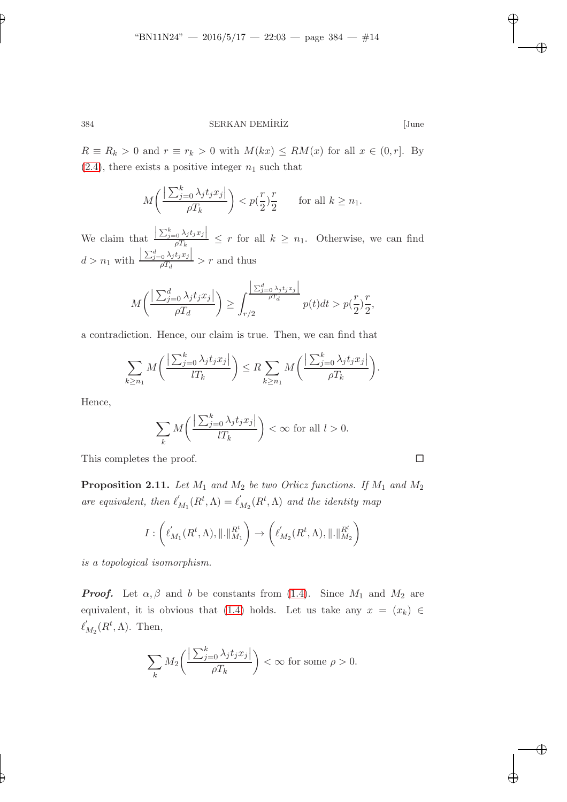$R \equiv R_k > 0$  and  $r \equiv r_k > 0$  with  $M(kx) \le RM(x)$  for all  $x \in (0, r]$ . By  $(2.4)$ , there exists a positive integer  $n_1$  such that

$$
M\left(\frac{\left|\sum_{j=0}^k \lambda_j t_j x_j\right|}{\rho T_k}\right) < p\left(\frac{r}{2}\right) \frac{r}{2} \quad \text{for all } k \ge n_1.
$$

We claim that  $\frac{\left|\sum_{j=0}^k \lambda_j t_j x_j\right|}{\rho T_k} \leq r$  for all  $k \geq n_1$ . Otherwise, we can find  $d > n_1$  with  $\left|\frac{\sum_{j=0}^d \lambda_j t_j x_j}{\rho T_d}\right| > r$  and thus

$$
M\left(\frac{\left|\sum_{j=0}^d \lambda_j t_j x_j\right|}{\rho T_d}\right) \ge \int_{r/2}^{\left|\sum_{j=0}^d \lambda_j t_j x_j\right|} p(t) dt > p\left(\frac{r}{2}\right) \frac{r}{2},
$$

a contradiction. Hence, our claim is true. Then, we can find that

$$
\sum_{k\geq n_1} M\bigg(\frac{\left|\sum_{j=0}^k \lambda_j t_j x_j\right|}{lT_k}\bigg) \leq R \sum_{k\geq n_1} M\bigg(\frac{\left|\sum_{j=0}^k \lambda_j t_j x_j\right|}{\rho T_k}\bigg).
$$

Hence,

$$
\sum_{k} M\left(\frac{\left|\sum_{j=0}^{k} \lambda_j t_j x_j\right|}{l T_k}\right) < \infty \text{ for all } l > 0.
$$

This completes the proof.

**Proposition 2.11.** Let  $M_1$  and  $M_2$  be two Orlicz functions. If  $M_1$  and  $M_2$ *are equivalent, then*  $\ell'_j$  $'_{M_1}(R^t,\Lambda)=\ell_1'$  $\mathcal{L}_{M_2}(R^t,\Lambda)$  and the identity map

$$
I:\left(\ell^{'}_{M_1}(R^t,\Lambda),\|.\|^{R^t}_{M_1}\right)\rightarrow \left(\ell^{'}_{M_2}(R^t,\Lambda),\|.\|^{R^t}_{M_2}\right)
$$

*is a topological isomorphism.*

**Proof.** Let  $\alpha, \beta$  and b be constants from [\(1.4\)](#page-2-0). Since  $M_1$  and  $M_2$  are equivalent, it is obvious that [\(1.4\)](#page-2-0) holds. Let us take any  $x = (x_k) \in$  $\ell_1'$  $'_{M_2}(R^t,\Lambda)$ . Then,

$$
\sum_{k} M_2 \bigg( \frac{\left| \sum_{j=0}^k \lambda_j t_j x_j \right|}{\rho T_k} \bigg) < \infty \text{ for some } \rho > 0.
$$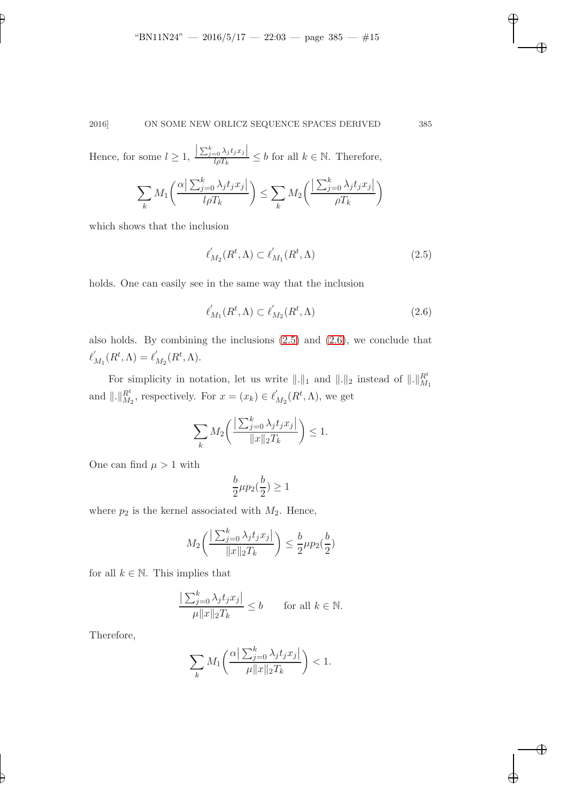Hence, for some  $l \geq 1$ ,  $\frac{\left|\sum_{j=0}^k \lambda_j t_j x_j\right|}{l \rho T_k} \leq b$  for all  $k \in \mathbb{N}$ . Therefore,

$$
\sum_{k} M_{1}\left(\frac{\alpha \left| \sum_{j=0}^{k} \lambda_{j} t_{j} x_{j} \right|}{l \rho T_{k}}\right) \leq \sum_{k} M_{2}\left(\frac{\left| \sum_{j=0}^{k} \lambda_{j} t_{j} x_{j} \right|}{\rho T_{k}}\right)
$$

which shows that the inclusion

<span id="page-14-0"></span>
$$
\ell'_{M_2}(R^t,\Lambda) \subset \ell'_{M_1}(R^t,\Lambda) \tag{2.5}
$$

holds. One can easily see in the same way that the inclusion

$$
\ell'_{M_1}(R^t,\Lambda) \subset \ell'_{M_2}(R^t,\Lambda) \tag{2.6}
$$

also holds. By combining the inclusions [\(2.5\)](#page-14-0) and [\(2.6\)](#page-14-1), we conclude that  $\ell_1'$  $J'_{M_1}(R^t,\Lambda)=\ell'_1$  $'_{M_2}(R^t,\Lambda).$ 

For simplicity in notation, let us write  $\|\cdot\|_1$  and  $\|\cdot\|_2$  instead of  $\|\cdot\|_{M_1}^{R^t}$ and  $\Vert . \Vert_{M_2}^{R^t}$ , respectively. For  $x = (x_k) \in \ell'_1$  $'_{M_2}(R^t,\Lambda)$ , we get

$$
\sum_{k} M_2 \bigg( \frac{\left| \sum_{j=0}^k \lambda_j t_j x_j \right|}{\|x\|_2 T_k} \bigg) \le 1.
$$

One can find  $\mu > 1$  with

$$
\frac{b}{2}\mu p_2(\frac{b}{2}) \ge 1
$$

where  $p_2$  is the kernel associated with  $M_2$ . Hence,

$$
M_2\left(\frac{\left|\sum_{j=0}^k \lambda_j t_j x_j\right|}{\|x\|_2 T_k}\right) \le \frac{b}{2} \mu p_2(\frac{b}{2})
$$

for all  $k \in \mathbb{N}$ . This implies that

$$
\frac{\left|\sum_{j=0}^k \lambda_j t_j x_j\right|}{\mu \|x\|_2 T_k} \le b \quad \text{for all } k \in \mathbb{N}.
$$

Therefore,

$$
\sum_{k} M_{1}\left(\frac{\alpha \left|\sum_{j=0}^{k} \lambda_{j} t_{j} x_{j}\right|}{\mu \|x\|_{2} T_{k}}\right) < 1.
$$

<span id="page-14-1"></span>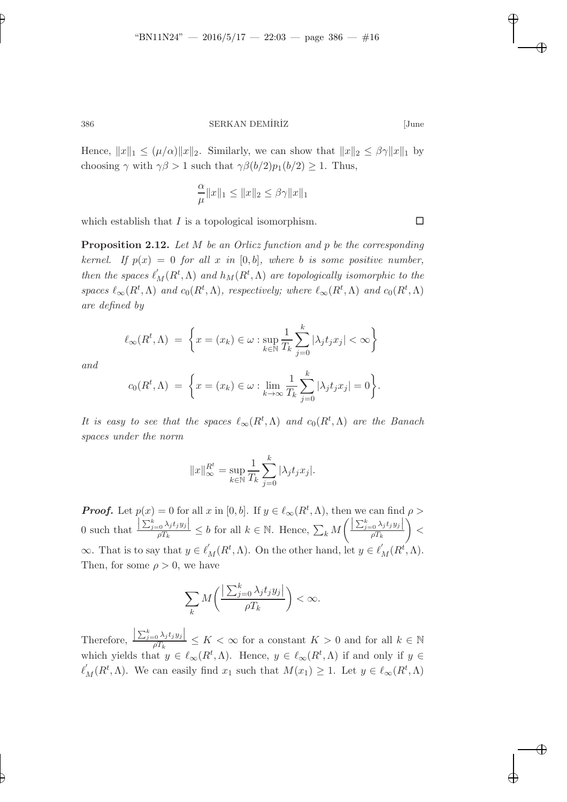Hence,  $||x||_1 \leq (\mu/\alpha) ||x||_2$ . Similarly, we can show that  $||x||_2 \leq \beta \gamma ||x||_1$  by choosing  $\gamma$  with  $\gamma\beta > 1$  such that  $\gamma\beta(b/2)p_1(b/2) \geq 1$ . Thus,

$$
\frac{\alpha}{\mu}||x||_1 \le ||x||_2 \le \beta \gamma ||x||_1
$$

<span id="page-15-0"></span>which establish that I is a topological isomorphism.  $\Box$ 

Proposition 2.12. *Let* M *be an Orlicz function and* p *be the corresponding kernel.* If  $p(x) = 0$  *for all* x *in* [0, b], where b *is some positive number, then the spaces*  $\ell'_M(R^t, \Lambda)$  *and*  $h_M(R^t, \Lambda)$  *are topologically isomorphic to the spaces*  $\ell_{\infty}(R^t, \Lambda)$  *and*  $c_0(R^t, \Lambda)$ *, respectively; where*  $\ell_{\infty}(R^t, \Lambda)$  *and*  $c_0(R^t, \Lambda)$ *are defined by*

$$
\ell_{\infty}(R^t, \Lambda) = \left\{ x = (x_k) \in \omega : \sup_{k \in \mathbb{N}} \frac{1}{T_k} \sum_{j=0}^k |\lambda_j t_j x_j| < \infty \right\}
$$

*and*

$$
c_0(R^t, \Lambda) = \left\{ x = (x_k) \in \omega : \lim_{k \to \infty} \frac{1}{T_k} \sum_{j=0}^k |\lambda_j t_j x_j| = 0 \right\}.
$$

*It is easy to see that the spaces*  $\ell_{\infty}(R^t,\Lambda)$  *and*  $c_0(R^t,\Lambda)$  *are the Banach spaces under the norm*

$$
||x||_{\infty}^{R^t} = \sup_{k \in \mathbb{N}} \frac{1}{T_k} \sum_{j=0}^k |\lambda_j t_j x_j|.
$$

**Proof.** Let  $p(x) = 0$  for all x in [0, b]. If  $y \in \ell_{\infty}(R^t, \Lambda)$ , then we can find  $\rho >$ 0 such that  $\frac{\left|\sum_{j=0}^k \lambda_j t_j y_j\right|}{\rho T_k} \leq b$  for all  $k \in \mathbb{N}$ . Hence,  $\sum_k M_k$  $\left( \frac{\left| \sum_{j=0}^k \lambda_j t_j y_j \right|}{\rho T_k} \right)$  $\setminus$  $\lt$  $\infty$ . That is to say that  $y \in \ell'_M(R^t, \Lambda)$ . On the other hand, let  $y \in \ell'_M(R^t, \Lambda)$ . Then, for some  $\rho > 0$ , we have

$$
\sum_{k} M\bigg(\frac{\left|\sum_{j=0}^{k} \lambda_j t_j y_j\right|}{\rho T_k}\bigg) < \infty.
$$

Therefore,  $\frac{\left|\sum_{j=0}^k \lambda_j t_j y_j\right|}{\rho T_k} \leq K < \infty$  for a constant  $K > 0$  and for all  $k \in \mathbb{N}$ which yields that  $y \in \ell_{\infty}(R^t, \Lambda)$ . Hence,  $y \in \ell_{\infty}(R^t, \Lambda)$  if and only if  $y \in$  $\ell'_M(R^t, \Lambda)$ . We can easily find  $x_1$  such that  $M(x_1) \geq 1$ . Let  $y \in \ell_\infty(R^t, \Lambda)$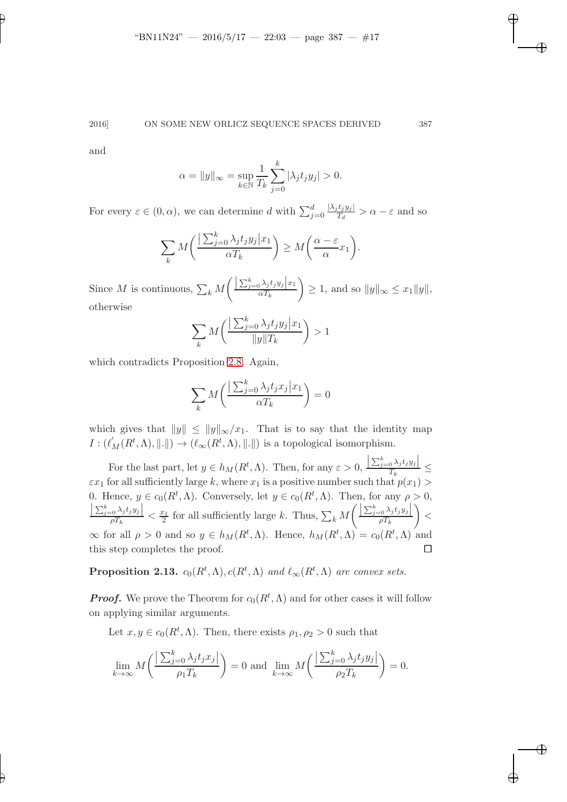and

$$
\alpha = \|y\|_{\infty} = \sup_{k \in \mathbb{N}} \frac{1}{T_k} \sum_{j=0}^{k} |\lambda_j t_j y_j| > 0.
$$

For every  $\varepsilon \in (0, \alpha)$ , we can determine d with  $\sum_{j=0}^{d}$  $|\lambda_j t_j y_j|$  $\frac{\partial^2 y}{\partial t^2} > \alpha - \varepsilon$  and so

$$
\sum_{k} M\left(\frac{\sum_{j=0}^{k} \lambda_j t_j y_j | x_1}{\alpha T_k}\right) \ge M\left(\frac{\alpha - \varepsilon}{\alpha} x_1\right).
$$

Since M is continuous,  $\sum_k M$  $\left( \frac{\left| \sum_{j=0}^k \lambda_j t_j y_j \right| x_1}{\alpha T_k} \right)$  $\setminus$  $\geq 1$ , and so  $||y||_{\infty} \leq x_1||y||$ , otherwise

$$
\sum_{k} M\left(\frac{\sum_{j=0}^{k} \lambda_j t_j y_j | x_1}{\|y\| T_k}\right) > 1
$$

which contradicts Proposition [2.8.](#page-11-0) Again,

$$
\sum_{k} M\left(\frac{\sum_{j=0}^{k} \lambda_j t_j x_j | x_1}{\alpha T_k}\right) = 0
$$

which gives that  $||y|| \le ||y||_{\infty}/x_1$ . That is to say that the identity map  $I: (\ell'_M(R^t, \Lambda), \|\. \|) \to (\ell_\infty(R^t, \Lambda), \|\. \|)$  is a topological isomorphism.

For the last part, let  $y \in h_M(R^t, \Lambda)$ . Then, for any  $\varepsilon > 0$ ,  $\frac{\left|\sum_{j=0}^k\lambda_jt_jy_j\right|}{T_k}\leq$  $\varepsilon x_1$  for all sufficiently large k, where  $x_1$  is a positive number such that  $p(x_1)$ 0. Hence,  $y \in c_0(R^t, \Lambda)$ . Conversely, let  $y \in c_0(R^t, \Lambda)$ . Then, for any  $\rho > 0$ ,  $\left|\frac{\sum_{j=0}^k \lambda_j t_j y_j}{\rho T_k}\right| < \frac{x_1}{2}$  for all sufficiently large k. Thus,  $\sum_k M_k$  $\left( \frac{\left| \sum_{j=0}^k \lambda_j t_j y_j \right|}{\rho T_k} \right)$  $\setminus$  $\lt$  $\infty$  for all  $\rho > 0$  and so  $y \in h_M(R^t, \Lambda)$ . Hence,  $h_M(R^t, \Lambda) = c_0(R^t, \Lambda)$  and this step completes the proof.  $\Box$ 

**Proposition 2.13.**  $c_0(R^t, \Lambda), c(R^t, \Lambda)$  and  $\ell_\infty(R^t, \Lambda)$  are convex sets.

**Proof.** We prove the Theorem for  $c_0(R^t, \Lambda)$  and for other cases it will follow on applying similar arguments.

Let  $x, y \in c_0(R^t, \Lambda)$ . Then, there exists  $\rho_1, \rho_2 > 0$  such that

$$
\lim_{k \to \infty} M\left(\frac{\left|\sum_{j=0}^k \lambda_j t_j x_j\right|}{\rho_1 T_k}\right) = 0 \text{ and } \lim_{k \to \infty} M\left(\frac{\left|\sum_{j=0}^k \lambda_j t_j y_j\right|}{\rho_2 T_k}\right) = 0.
$$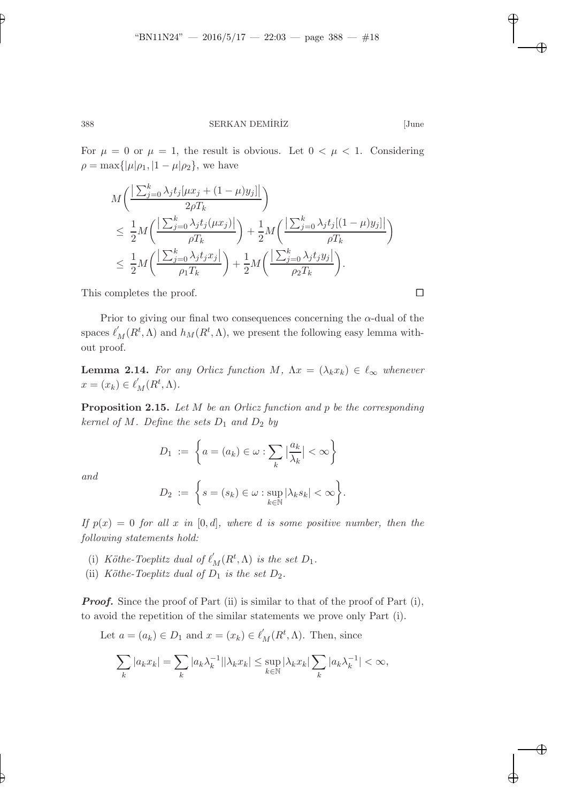For  $\mu = 0$  or  $\mu = 1$ , the result is obvious. Let  $0 < \mu < 1$ . Considering  $\rho = \max{\{|\mu|\rho_1, |1-\mu|\rho_2\}}$ , we have

$$
M\left(\frac{\left|\sum_{j=0}^{k}\lambda_{j}t_{j}\left[\mu x_{j}+(1-\mu)y_{j}\right]\right|}{2\rho T_{k}}\right)
$$
  
\n
$$
\leq \frac{1}{2}M\left(\frac{\left|\sum_{j=0}^{k}\lambda_{j}t_{j}\left(\mu x_{j}\right)\right|}{\rho T_{k}}\right) + \frac{1}{2}M\left(\frac{\left|\sum_{j=0}^{k}\lambda_{j}t_{j}\left[(1-\mu)y_{j}\right]\right|}{\rho T_{k}}\right)
$$
  
\n
$$
\leq \frac{1}{2}M\left(\frac{\left|\sum_{j=0}^{k}\lambda_{j}t_{j}x_{j}\right|}{\rho_{1}T_{k}}\right) + \frac{1}{2}M\left(\frac{\left|\sum_{j=0}^{k}\lambda_{j}t_{j}y_{j}\right|}{\rho_{2}T_{k}}\right).
$$

This completes the proof.

Prior to giving our final two consequences concerning the  $\alpha$ -dual of the spaces  $\ell'_M(R^t, \Lambda)$  and  $h_M(R^t, \Lambda)$ , we present the following easy lemma without proof.

<span id="page-17-0"></span>**Lemma 2.14.** For any Orlicz function M,  $\Lambda x = (\lambda_k x_k) \in \ell_\infty$  whenever  $x = (x_k) \in \ell'_M(R^t, \Lambda).$ 

<span id="page-17-1"></span>Proposition 2.15. *Let* M *be an Orlicz function and* p *be the corresponding kernel of*  $M$ *. Define the sets*  $D_1$  *and*  $D_2$  *by* 

$$
D_1 := \left\{ a = (a_k) \in \omega : \sum_k \left| \frac{a_k}{\lambda_k} \right| < \infty \right\}
$$
\n
$$
D_2 := \left\{ s = (s_k) \in \omega : \sup_{k \in \mathbb{N}} |\lambda_k s_k| < \infty \right\}.
$$

*and*

If 
$$
p(x) = 0
$$
 for all x in [0, d], where d is some positive number, then the following statements hold:

- (i) *Köthe-Toeplitz dual of*  $\ell'_M(R^t, \Lambda)$  *is the set*  $D_1$ *.*
- (ii) *Köthe-Toeplitz dual of*  $D_1$  *is the set*  $D_2$ *.*

**Proof.** Since the proof of Part (ii) is similar to that of the proof of Part (i), to avoid the repetition of the similar statements we prove only Part (i).

Let 
$$
a = (a_k) \in D_1
$$
 and  $x = (x_k) \in \ell'_M(R^t, \Lambda)$ . Then, since  
\n
$$
\sum_k |a_k x_k| = \sum_k |a_k \lambda_k^{-1}| |\lambda_k x_k| \leq \sup_{k \in \mathbb{N}} |\lambda_k x_k| \sum_k |a_k \lambda_k^{-1}| < \infty,
$$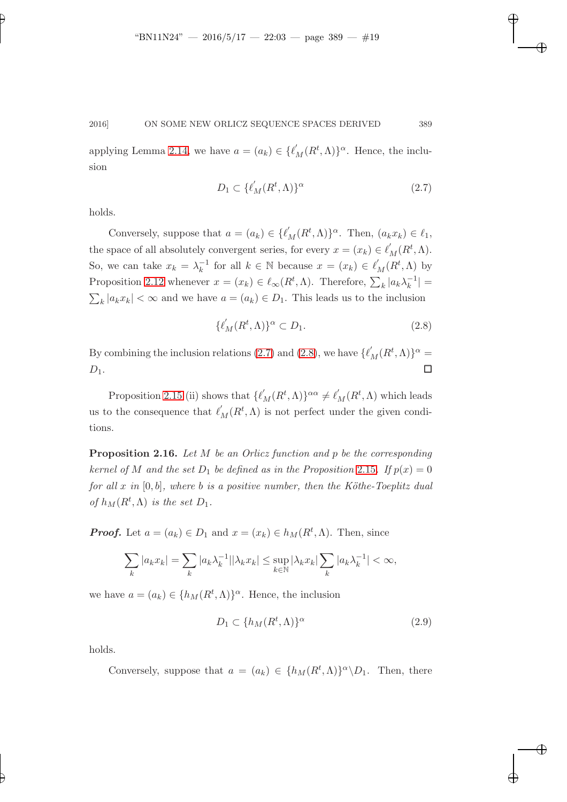<span id="page-18-0"></span>applying Lemma [2.14,](#page-17-0) we have  $a = (a_k) \in \{\ell'_M(R^t, \Lambda)\}^\alpha$ . Hence, the inclusion

$$
D_1 \subset \{\ell'_M(R^t, \Lambda)\}^\alpha \tag{2.7}
$$

holds.

Conversely, suppose that  $a = (a_k) \in \{\ell'_M(R^t, \Lambda)\}^\alpha$ . Then,  $(a_k x_k) \in \ell_1$ , the space of all absolutely convergent series, for every  $x = (x_k) \in \ell'_M(R^t, \Lambda)$ . So, we can take  $x_k = \lambda_k^{-1}$  $\int_{k}^{-1}$  for all  $k \in \mathbb{N}$  because  $x = (x_k) \in \ell'_M(R^t, \Lambda)$  by Proposition [2.12](#page-15-0) whenever  $x = (x_k) \in \ell_\infty(R^t, \Lambda)$ . Therefore,  $\sum_k |a_k \lambda_k^{-1}|$  $|k^{-1}| =$  $\sum_{k} |a_k x_k| < \infty$  and we have  $a = (a_k) \in D_1$ . This leads us to the inclusion

<span id="page-18-1"></span>
$$
\{\ell'_M(R^t,\Lambda)\}^\alpha \subset D_1. \tag{2.8}
$$

By combining the inclusion relations [\(2.7\)](#page-18-0) and [\(2.8\)](#page-18-1), we have  $\{\ell'_M(R^t,\Lambda)\}^\alpha =$  $D_1$ .

Proposition [2.15](#page-17-1) (ii) shows that  $\{\ell'_M(R^t,\Lambda)\}^{\alpha\alpha} \neq \ell'_M(R^t,\Lambda)$  which leads us to the consequence that  $\ell'_M(R^t, \Lambda)$  is not perfect under the given conditions.

Proposition 2.16. *Let* M *be an Orlicz function and* p *be the corresponding kernel of* M and the set  $D_1$  be defined as in the Proposition [2.15](#page-17-1). If  $p(x) = 0$ *for all* x *in* [0, b], where b *is a positive number, then the Köthe-Toeplitz dual of*  $h_M(R^t, \Lambda)$  *is the set*  $D_1$ *.* 

**Proof.** Let  $a = (a_k) \in D_1$  and  $x = (x_k) \in h_M(R^t, \Lambda)$ . Then, since

$$
\sum_{k} |a_k x_k| = \sum_{k} |a_k \lambda_k^{-1}| |\lambda_k x_k| \le \sup_{k \in \mathbb{N}} |\lambda_k x_k| \sum_{k} |a_k \lambda_k^{-1}| < \infty,
$$

we have  $a = (a_k) \in \{h_M(R^t, \Lambda)\}^\alpha$ . Hence, the inclusion

<span id="page-18-2"></span>
$$
D_1 \subset \{h_M(R^t, \Lambda)\}^\alpha \tag{2.9}
$$

holds.

Conversely, suppose that  $a = (a_k) \in \{h_M(R^t, \Lambda)\}^{\alpha} \backslash D_1$ . Then, there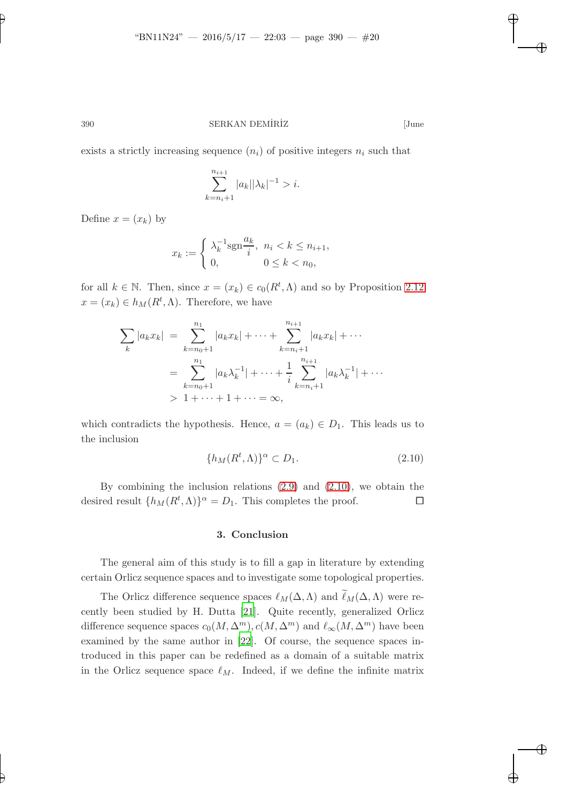exists a strictly increasing sequence  $(n_i)$  of positive integers  $n_i$  such that

$$
\sum_{k=n_i+1}^{n_{i+1}} |a_k||\lambda_k|^{-1} > i.
$$

Define  $x = (x_k)$  by

$$
x_k := \begin{cases} \lambda_k^{-1} \text{sgn} \frac{a_k}{i}, & n_i < k \le n_{i+1}, \\ 0, & 0 \le k < n_0, \end{cases}
$$

for all  $k \in \mathbb{N}$ . Then, since  $x = (x_k) \in c_0(R^t, \Lambda)$  and so by Proposition [2.12](#page-15-0)  $x = (x_k) \in h_M(R^t, \Lambda)$ . Therefore, we have

$$
\sum_{k} |a_{k}x_{k}| = \sum_{k=n_{0}+1}^{n_{1}} |a_{k}x_{k}| + \dots + \sum_{k=n_{i}+1}^{n_{i+1}} |a_{k}x_{k}| + \dots
$$

$$
= \sum_{k=n_{0}+1}^{n_{1}} |a_{k}\lambda_{k}^{-1}| + \dots + \frac{1}{i} \sum_{k=n_{i}+1}^{n_{i+1}} |a_{k}\lambda_{k}^{-1}| + \dots
$$

$$
> 1 + \dots + 1 + \dots = \infty,
$$

<span id="page-19-0"></span>which contradicts the hypothesis. Hence,  $a = (a_k) \in D_1$ . This leads us to the inclusion

$$
\{h_M(R^t,\Lambda)\}^\alpha \subset D_1. \tag{2.10}
$$

By combining the inclusion relations [\(2.9\)](#page-18-2) and [\(2.10\)](#page-19-0), we obtain the desired result  $\{h_M(R^t,\Lambda)\}^{\alpha} = D_1$ . This completes the proof.

#### 3. Conclusion

The general aim of this study is to fill a gap in literature by extending certain Orlicz sequence spaces and to investigate some topological properties.

The Orlicz difference sequence spaces  $\ell_M(\Delta,\Lambda)$  and  $\widetilde{\ell}_M(\Delta,\Lambda)$  were recently been studied by H. Dutta [\[21\]](#page-21-1). Quite recently, generalized Orlicz difference sequence spaces  $c_0(M, \Delta^m)$ ,  $c(M, \Delta^m)$  and  $\ell_\infty(M, \Delta^m)$  have been examined by the same author in [\[22](#page-21-2)]. Of course, the sequence spaces introduced in this paper can be redefined as a domain of a suitable matrix in the Orlicz sequence space  $\ell_M$ . Indeed, if we define the infinite matrix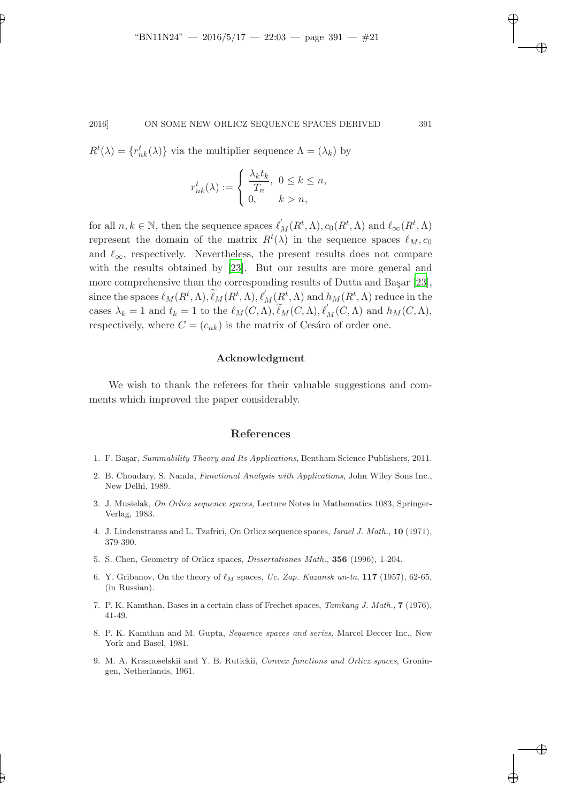$R^t(\lambda) = \{r_{nk}^t(\lambda)\}\$ via the multiplier sequence  $\Lambda = (\lambda_k)$  by

$$
r_{nk}^t(\lambda) := \begin{cases} \frac{\lambda_k t_k}{T_n}, & 0 \le k \le n, \\ 0, & k > n, \end{cases}
$$

for all  $n, k \in \mathbb{N}$ , then the sequence spaces  $\ell'_M(R^t, \Lambda), c_0(R^t, \Lambda)$  and  $\ell_\infty(R^t, \Lambda)$ represent the domain of the matrix  $R^t(\lambda)$  in the sequence spaces  $\ell_M$ ,  $c_0$ and  $\ell_{\infty}$ , respectively. Nevertheless, the present results does not compare with the results obtained by [\[23\]](#page-21-3). But our results are more general and more comprehensive than the corresponding results of Dutta and Başar  $[23]$ , since the spaces  $\ell_M(R^t, \Lambda), \widetilde{\ell}_M(R^t, \Lambda), \ell'_M(R^t, \Lambda)$  and  $h_M(R^t, \Lambda)$  reduce in the cases  $\lambda_k = 1$  and  $t_k = 1$  to the  $\ell_M(C, \Lambda), \widetilde{\ell}_M(C, \Lambda), \ell'_M(C, \Lambda)$  and  $h_M(C, \Lambda),$ respectively, where  $C = (c_{nk})$  is the matrix of Cesáro of order one.

## Acknowledgment

We wish to thank the referees for their valuable suggestions and comments which improved the paper considerably.

## References

- <span id="page-20-3"></span>1. F. Başar, Summability Theory and Its Applications, Bentham Science Publishers, 2011.
- <span id="page-20-0"></span>2. B. Choudary, S. Nanda, Functional Analysis with Applications, John Wiley Sons Inc., New Delhi, 1989.
- <span id="page-20-1"></span>3. J. Musielak, On Orlicz sequence spaces, Lecture Notes in Mathematics 1083, Springer-Verlag, 1983.
- <span id="page-20-2"></span>4. J. Lindenstrauss and L. Tzafriri, On Orlicz sequence spaces, Israel J. Math., 10 (1971), 379-390.
- 5. S. Chen, Geometry of Orlicz spaces, Dissertationes Math., 356 (1996), 1-204.
- 6. Y. Gribanov, On the theory of  $\ell_M$  spaces, Uc. Zap. Kazansk un-ta, 117 (1957), 62-65, (in Russian).
- 7. P. K. Kamthan, Bases in a certain class of Frechet spaces, Tamkang J. Math., 7 (1976), 41-49.
- 8. P. K. Kamthan and M. Gupta, Sequence spaces and series, Marcel Deccer Inc., New York and Basel, 1981.
- 9. M. A. Krasnoselskii and Y. B. Rutickii, Convex functions and Orlicz spaces, Groningen, Netherlands, 1961.